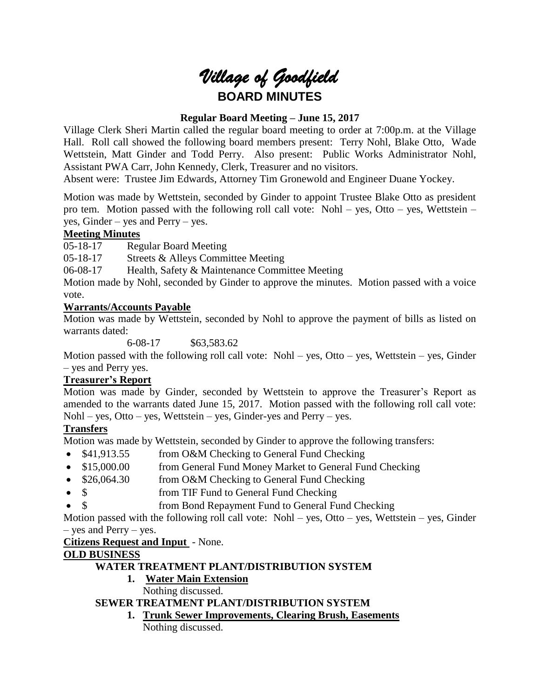# *Village of Goodfield* **BOARD MINUTES**

# **Regular Board Meeting – June 15, 2017**

Village Clerk Sheri Martin called the regular board meeting to order at 7:00p.m. at the Village Hall. Roll call showed the following board members present: Terry Nohl, Blake Otto, Wade Wettstein, Matt Ginder and Todd Perry. Also present: Public Works Administrator Nohl, Assistant PWA Carr, John Kennedy, Clerk, Treasurer and no visitors.

Absent were: Trustee Jim Edwards, Attorney Tim Gronewold and Engineer Duane Yockey.

Motion was made by Wettstein, seconded by Ginder to appoint Trustee Blake Otto as president pro tem. Motion passed with the following roll call vote: Nohl – yes, Otto – yes, Wettstein – yes, Ginder – yes and Perry – yes.

# **Meeting Minutes**

05-18-17 Regular Board Meeting

05-18-17 Streets & Alleys Committee Meeting

06-08-17 Health, Safety & Maintenance Committee Meeting

Motion made by Nohl, seconded by Ginder to approve the minutes. Motion passed with a voice vote.

# **Warrants/Accounts Payable**

Motion was made by Wettstein, seconded by Nohl to approve the payment of bills as listed on warrants dated:

6-08-17 \$63,583.62

Motion passed with the following roll call vote: Nohl – yes, Otto – yes, Wettstein – yes, Ginder – yes and Perry yes.

## **Treasurer's Report**

Motion was made by Ginder, seconded by Wettstein to approve the Treasurer's Report as amended to the warrants dated June 15, 2017. Motion passed with the following roll call vote: Nohl – yes, Otto – yes, Wettstein – yes, Ginder-yes and Perry – yes.

# **Transfers**

Motion was made by Wettstein, seconded by Ginder to approve the following transfers:

- \$41,913.55 from O&M Checking to General Fund Checking
- \$15,000.00 from General Fund Money Market to General Fund Checking
- \$26,064.30 from O&M Checking to General Fund Checking
- \$ from TIF Fund to General Fund Checking
	- \$ from Bond Repayment Fund to General Fund Checking

Motion passed with the following roll call vote: Nohl – yes, Otto – yes, Wettstein – yes, Ginder – yes and Perry – yes.

**Citizens Request and Input** - None.

# **OLD BUSINESS**

# **WATER TREATMENT PLANT/DISTRIBUTION SYSTEM**

**1. Water Main Extension**

Nothing discussed.

# **SEWER TREATMENT PLANT/DISTRIBUTION SYSTEM**

**1. Trunk Sewer Improvements, Clearing Brush, Easements** Nothing discussed.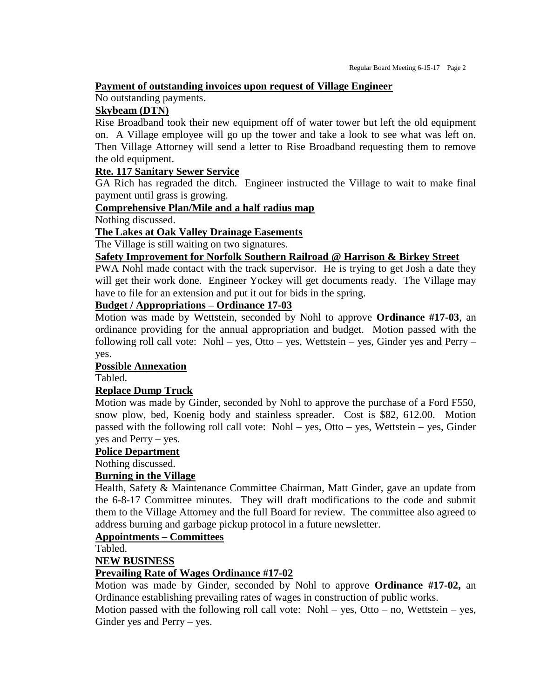#### **Payment of outstanding invoices upon request of Village Engineer**

#### No outstanding payments.

#### **Skybeam (DTN)**

Rise Broadband took their new equipment off of water tower but left the old equipment on. A Village employee will go up the tower and take a look to see what was left on. Then Village Attorney will send a letter to Rise Broadband requesting them to remove the old equipment.

#### **Rte. 117 Sanitary Sewer Service**

GA Rich has regraded the ditch. Engineer instructed the Village to wait to make final payment until grass is growing.

## **Comprehensive Plan/Mile and a half radius map**

Nothing discussed.

#### **The Lakes at Oak Valley Drainage Easements**

The Village is still waiting on two signatures.

## **Safety Improvement for Norfolk Southern Railroad @ Harrison & Birkey Street**

PWA Nohl made contact with the track supervisor. He is trying to get Josh a date they will get their work done. Engineer Yockey will get documents ready. The Village may have to file for an extension and put it out for bids in the spring.

## **Budget / Appropriations – Ordinance 17-03**

Motion was made by Wettstein, seconded by Nohl to approve **Ordinance #17-03**, an ordinance providing for the annual appropriation and budget. Motion passed with the following roll call vote: Nohl – yes, Otto – yes, Wettstein – yes, Ginder yes and Perry – yes.

#### **Possible Annexation**

Tabled.

#### **Replace Dump Truck**

Motion was made by Ginder, seconded by Nohl to approve the purchase of a Ford F550, snow plow, bed, Koenig body and stainless spreader. Cost is \$82, 612.00. Motion passed with the following roll call vote: Nohl – yes, Otto – yes, Wettstein – yes, Ginder yes and Perry – yes.

#### **Police Department**

Nothing discussed.

## **Burning in the Village**

Health, Safety & Maintenance Committee Chairman, Matt Ginder, gave an update from the 6-8-17 Committee minutes. They will draft modifications to the code and submit them to the Village Attorney and the full Board for review. The committee also agreed to address burning and garbage pickup protocol in a future newsletter.

#### **Appointments – Committees**

Tabled.

## **NEW BUSINESS**

## **Prevailing Rate of Wages Ordinance #17-02**

Motion was made by Ginder, seconded by Nohl to approve **Ordinance #17-02,** an Ordinance establishing prevailing rates of wages in construction of public works.

Motion passed with the following roll call vote:  $Nohl - yes$ , Otto – no, Wettstein – yes, Ginder yes and Perry – yes.